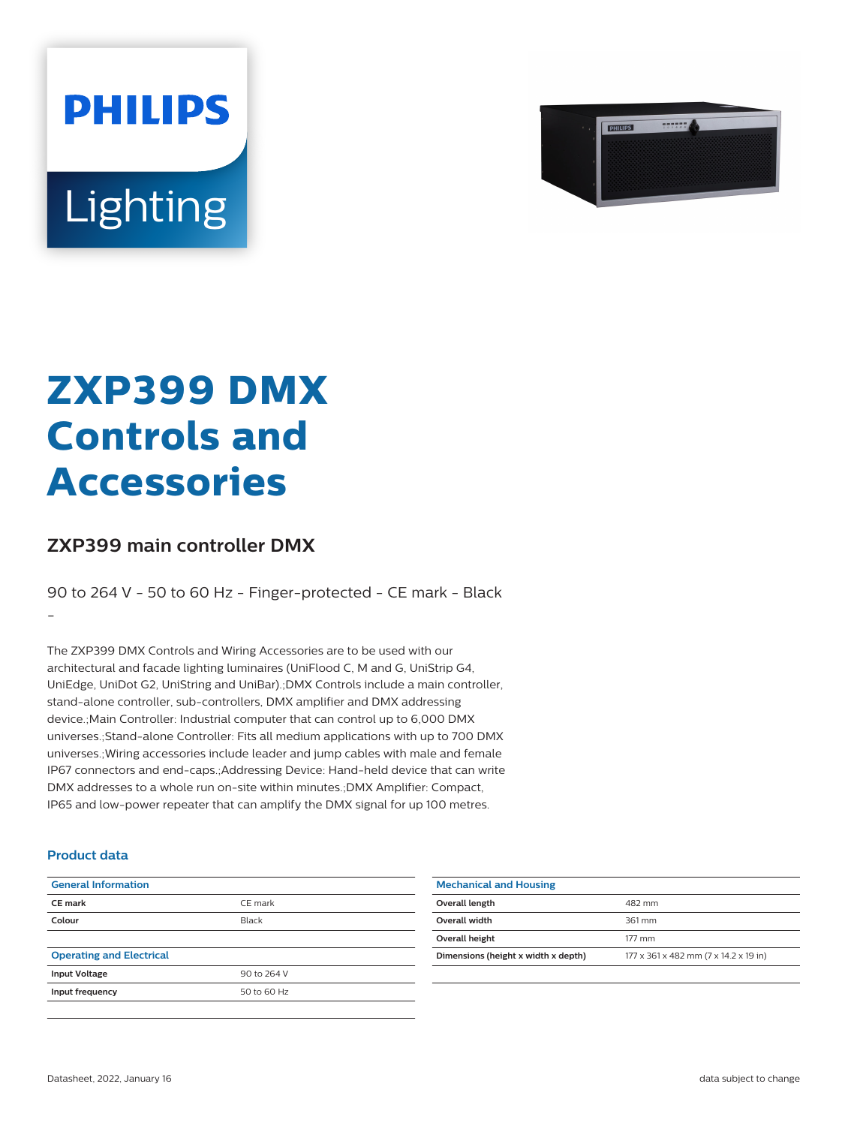



# **ZXP399 DMX Controls and Accessories**

## **ZXP399 main controller DMX**

90 to 264 V - 50 to 60 Hz - Finger-protected - CE mark - Black

-

The ZXP399 DMX Controls and Wiring Accessories are to be used with our architectural and facade lighting luminaires (UniFlood C, M and G, UniStrip G4, UniEdge, UniDot G2, UniString and UniBar).;DMX Controls include a main controller, stand-alone controller, sub-controllers, DMX amplifier and DMX addressing device.;Main Controller: Industrial computer that can control up to 6,000 DMX universes.;Stand-alone Controller: Fits all medium applications with up to 700 DMX universes.;Wiring accessories include leader and jump cables with male and female IP67 connectors and end-caps.;Addressing Device: Hand-held device that can write DMX addresses to a whole run on-site within minutes.;DMX Amplifier: Compact, IP65 and low-power repeater that can amplify the DMX signal for up 100 metres.

#### **Product data**

| <b>General Information</b>      |             |
|---------------------------------|-------------|
| <b>CE</b> mark                  | CE mark     |
| Colour                          | Black       |
|                                 |             |
| <b>Operating and Electrical</b> |             |
| <b>Input Voltage</b>            | 90 to 264 V |
| Input frequency                 | 50 to 60 Hz |
|                                 |             |

| <b>Mechanical and Housing</b>       |                                       |
|-------------------------------------|---------------------------------------|
| Overall length                      | 482 mm                                |
| Overall width                       | 361 mm                                |
| Overall height                      | 177 mm                                |
| Dimensions (height x width x depth) | 177 x 361 x 482 mm (7 x 14.2 x 19 in) |
|                                     |                                       |